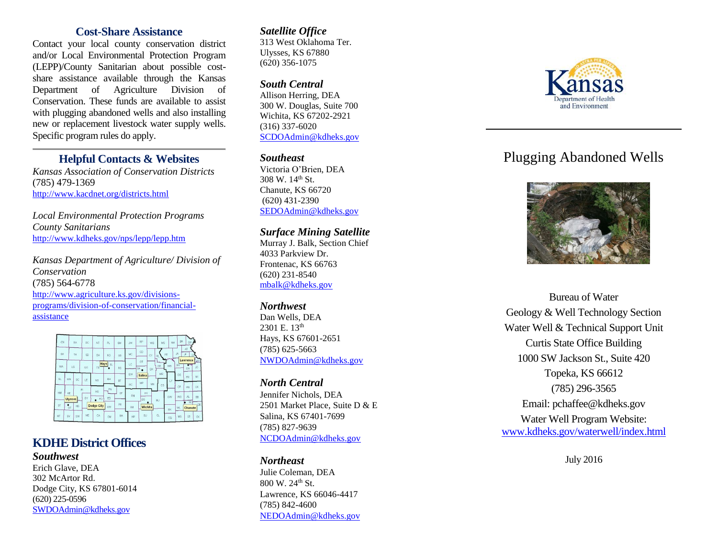#### **Cost -Share Assistance**

Contact your local county conservation district and/or Local Environmental Protection Program (LEPP) /County Sanitarian about possible cost share assistance available through the Kansas Department of Agriculture Division of Conservatio n. These funds are available to assist with plugging abandoned well s and also installing new or replacement livestock water supply wells. Specific program rules do apply.

#### **Helpful Contacts & Websites**

*Kansas Association of Conservation Districts* (785) 479 - 136 9 <http://www.kacdnet.org/districts.html>

*Local Environmental Protection Programs County Sanitarians* <http://www.kdheks.gov/nps/lepp/lepp.htm>

*Kansas Department of Agriculture/ Division of Conservation* (785) 564 -6778 [http://www.agriculture.ks.gov/divisions](http://www.agriculture.ks.gov/divisions-programs/division-of-conservation/financial-assistance)programs/division [-of-conservation/financial](http://www.agriculture.ks.gov/divisions-programs/division-of-conservation/financial-assistance) [assistance](http://www.agriculture.ks.gov/divisions-programs/division-of-conservation/financial-assistance)



### **KDHE District Offices**

*Southwest* Erich Glave, DEA 302 McArtor Rd. Dodge City, KS 67801 -6014 (620) 225 -0596 [SWDOAdmin@kdheks.gov](mailto:SWDOAdmin@kdheks.gov)

#### *Satellite Office*

313 West Oklahoma Ter. Ulysses, KS 67880 (620) 356 -1075

#### *South Centra l*

Allison Herring, DEA 30 0 W. Douglas, Suite 700 Wichita, KS 67202 -2921 (316) 337 -6020 [SCDOAdmin@kdheks.gov](mailto:SCDOAdmin@kdheks.gov)

#### *Southeast*

Victoria O'Brien, DEA 308 W. 14th St. Chanute, KS 66720 (620) 431 -2390 [SEDOAdmin@kdheks.gov](mailto:SEDOAdmin@kdheks.gov)

#### *Surface Mining Satellite*

Murray J. Balk, Section Chief 4033 Parkview Dr. Frontenac, KS 66763 (620) 231 -8540 [mbalk@kdheks.gov](mailto:mbalk@kdheks.gov)

#### *Northwest*

Dan Wells, DEA 2301 E. 13<sup>th</sup> Hays, KS 67601 -2651 (785) 625 -5663 [NWDOAdmin@kdheks.gov](mailto:NWDOAdmin@kdheks.gov)

#### *North Central*

Jennifer Nichols, DEA 2501 Market Place, Suite D & E Salina, KS 67401 -7699 (785) 827 -9639 [NCDOAdmin@kdheks.gov](mailto:NCDOAdmin@kdheks.gov)

#### *Northeast*

Julie Coleman, DEA 800 W. 24th St. Lawrence, KS 66046 -4417 (785) 842 -4600 [NEDOAdmin@kdheks.gov](mailto:NEDOAdmin@kdheks.gov)



# Plugging Abandoned Wells



Bureau of Water Geology & Well Technology Section Water Well & Technical Support Unit Curtis State Office Building 1000 SW Jackson St., Suite 420 Topeka, KS 66612 (785) 296 -3565 Email: pchaffee@kdheks.gov Water Well Program Website: [www.kdheks.gov/waterwell/index.html](http://www.kdheks.gov/waterwell/index.html)

July 201 6